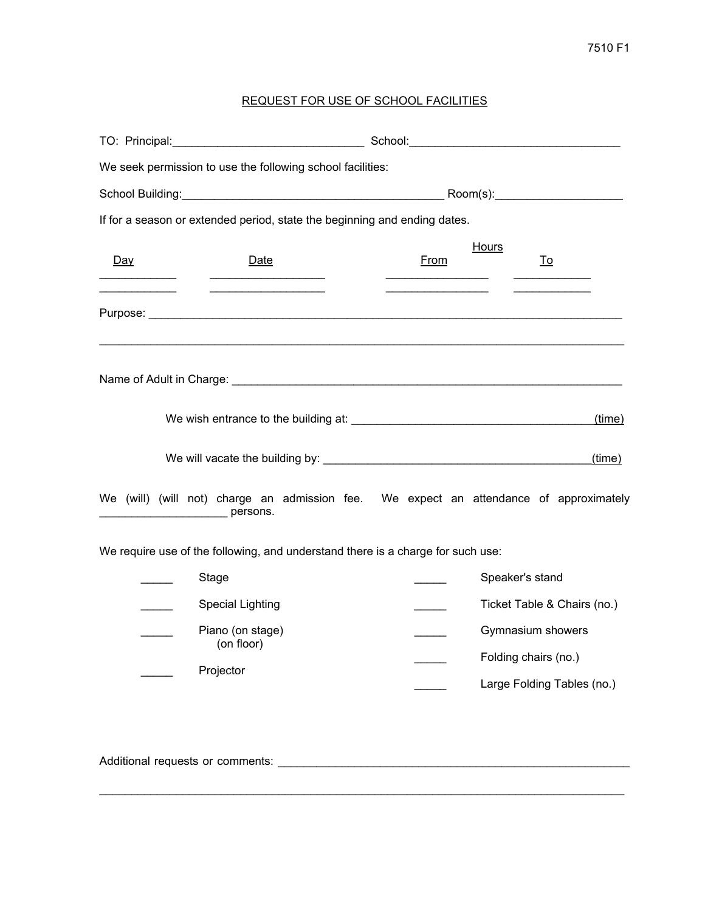## 7510 F1

## REQUEST FOR USE OF SCHOOL FACILITIES

|       | We seek permission to use the following school facilities:                                                                 |  |  |                   |  |                             |           |  |        |
|-------|----------------------------------------------------------------------------------------------------------------------------|--|--|-------------------|--|-----------------------------|-----------|--|--------|
|       |                                                                                                                            |  |  |                   |  |                             |           |  |        |
|       | If for a season or extended period, state the beginning and ending dates.                                                  |  |  |                   |  |                             |           |  |        |
| Day   | Date                                                                                                                       |  |  | From              |  | <b>Hours</b>                | <u>To</u> |  |        |
|       |                                                                                                                            |  |  |                   |  |                             |           |  |        |
|       |                                                                                                                            |  |  |                   |  |                             |           |  |        |
|       |                                                                                                                            |  |  |                   |  |                             |           |  | (time) |
|       |                                                                                                                            |  |  |                   |  |                             |           |  | (time) |
|       | We (will) (will not) charge an admission fee. We expect an attendance of approximately<br><b>DESCRIPTION DESCRIPTIONS.</b> |  |  |                   |  |                             |           |  |        |
|       | We require use of the following, and understand there is a charge for such use:                                            |  |  |                   |  |                             |           |  |        |
| Stage |                                                                                                                            |  |  |                   |  | Speaker's stand             |           |  |        |
|       | <b>Special Lighting</b><br>Piano (on stage)                                                                                |  |  |                   |  | Ticket Table & Chairs (no.) |           |  |        |
|       |                                                                                                                            |  |  | Gymnasium showers |  |                             |           |  |        |
|       | (on floor)<br>Projector                                                                                                    |  |  |                   |  | Folding chairs (no.)        |           |  |        |
|       |                                                                                                                            |  |  |                   |  | Large Folding Tables (no.)  |           |  |        |
|       |                                                                                                                            |  |  |                   |  |                             |           |  |        |
|       | Additional requests or comments:                                                                                           |  |  |                   |  |                             |           |  |        |

\_\_\_\_\_\_\_\_\_\_\_\_\_\_\_\_\_\_\_\_\_\_\_\_\_\_\_\_\_\_\_\_\_\_\_\_\_\_\_\_\_\_\_\_\_\_\_\_\_\_\_\_\_\_\_\_\_\_\_\_\_\_\_\_\_\_\_\_\_\_\_\_\_\_\_\_\_\_\_\_\_\_